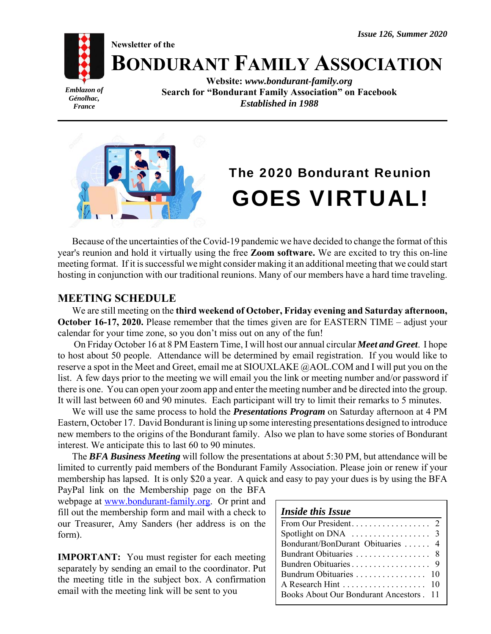*Issue 126, Summer 2020*

**Newsletter of the**



**BONDURANT FAMILY ASSOCIATION**

*Emblazon of Génolhac, France*

**Website:** *www.bondurant-family.org* **Search for "Bondurant Family Association" on Facebook** *Established in 1988*



# The 2020 Bondurant Reunion GOES VIRTUAL!

Because of the uncertainties of the Covid-19 pandemic we have decided to change the format of this year's reunion and hold it virtually using the free **Zoom software.** We are excited to try this on-line meeting format. If it is successful we might consider making it an additional meeting that we could start hosting in conjunction with our traditional reunions. Many of our members have a hard time traveling.

## **MEETING SCHEDULE**

We are still meeting on the **third weekend of October, Friday evening and Saturday afternoon, October 16-17, 2020.** Please remember that the times given are for EASTERN TIME – adjust your calendar for your time zone, so you don't miss out on any of the fun!

 On Friday October 16 at 8 PM Eastern Time, I will host our annual circular *Meet and Greet*. I hope to host about 50 people. Attendance will be determined by email registration. If you would like to reserve a spot in the Meet and Greet, email me at SIOUXLAKE @AOL.COM and I will put you on the list. A few days prior to the meeting we will email you the link or meeting number and/or password if there is one. You can open your zoom app and enter the meeting number and be directed into the group. It will last between 60 and 90 minutes. Each participant will try to limit their remarks to 5 minutes.

We will use the same process to hold the *Presentations Program* on Saturday afternoon at 4 PM Eastern, October 17. David Bondurant is lining up some interesting presentations designed to introduce new members to the origins of the Bondurant family. Also we plan to have some stories of Bondurant interest. We anticipate this to last 60 to 90 minutes.

The *BFA Business Meeting* will follow the presentations at about 5:30 PM, but attendance will be limited to currently paid members of the Bondurant Family Association. Please join or renew if your membership has lapsed. It is only \$20 a year. A quick and easy to pay your dues is by using the BFA

PayPal link on the Membership page on the BFA webpage at www.bondurant-family.org. Or print and fill out the membership form and mail with a check to our Treasurer, Amy Sanders (her address is on the form).

**IMPORTANT:** You must register for each meeting separately by sending an email to the coordinator. Put the meeting title in the subject box. A confirmation email with the meeting link will be sent to you

| <i><b>Inside this Issue</b></i>                         |
|---------------------------------------------------------|
|                                                         |
| Spotlight on DNA $\ldots \ldots \ldots \ldots \ldots$ 3 |
| Bondurant/BonDurant Obituaries  4                       |
|                                                         |
|                                                         |
|                                                         |
| A Research Hint 10                                      |
| Books About Our Bondurant Ancestors [11]                |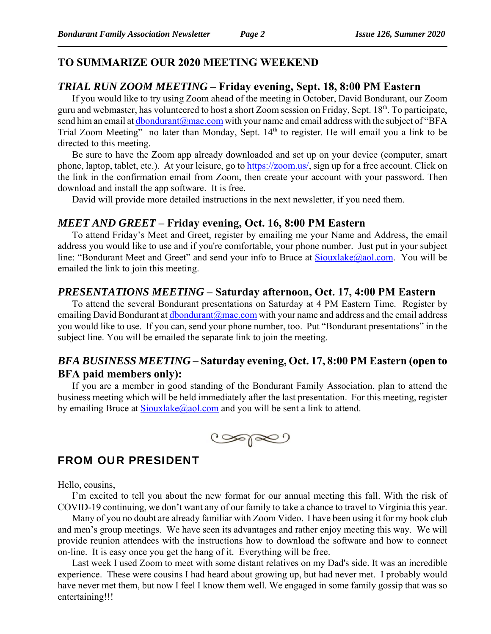## **TO SUMMARIZE OUR 2020 MEETING WEEKEND**

#### *TRIAL RUN ZOOM MEETING* **– Friday evening, Sept. 18, 8:00 PM Eastern**

If you would like to try using Zoom ahead of the meeting in October, David Bondurant, our Zoom guru and webmaster, has volunteered to host a short Zoom session on Friday, Sept. 18<sup>th</sup>. To participate, send him an email at *dbondurant@mac.com* with your name and email address with the subject of "BFA Trial Zoom Meeting" no later than Monday, Sept. 14<sup>th</sup> to register. He will email you a link to be directed to this meeting.

Be sure to have the Zoom app already downloaded and set up on your device (computer, smart phone, laptop, tablet, etc.). At your leisure, go to https://zoom.us/, sign up for a free account. Click on the link in the confirmation email from Zoom, then create your account with your password. Then download and install the app software. It is free.

David will provide more detailed instructions in the next newsletter, if you need them.

#### *MEET AND GREET* **– Friday evening, Oct. 16, 8:00 PM Eastern**

To attend Friday's Meet and Greet, register by emailing me your Name and Address, the email address you would like to use and if you're comfortable, your phone number. Just put in your subject line: "Bondurant Meet and Greet" and send your info to Bruce at  $Sioux \leq \alpha$  and  $E$  and  $\alpha$  will be emailed the link to join this meeting.

#### *PRESENTATIONS MEETING* **– Saturday afternoon, Oct. 17, 4:00 PM Eastern**

To attend the several Bondurant presentations on Saturday at 4 PM Eastern Time. Register by emailing David Bondurant at  $dbondurant@mac.com$  with your name and address and the email address you would like to use. If you can, send your phone number, too. Put "Bondurant presentations" in the subject line. You will be emailed the separate link to join the meeting.

## *BFA BUSINESS MEETING* **– Saturday evening, Oct. 17, 8:00 PM Eastern (open to BFA paid members only):**

If you are a member in good standing of the Bondurant Family Association, plan to attend the business meeting which will be held immediately after the last presentation. For this meeting, register by emailing Bruce at  $Sioux$ lake $@a$ ol.com and you will be sent a link to attend.



## FROM OUR PRESIDENT

Hello, cousins,

I'm excited to tell you about the new format for our annual meeting this fall. With the risk of COVID-19 continuing, we don't want any of our family to take a chance to travel to Virginia this year.

Many of you no doubt are already familiar with Zoom Video. I have been using it for my book club and men's group meetings. We have seen its advantages and rather enjoy meeting this way. We will provide reunion attendees with the instructions how to download the software and how to connect on-line. It is easy once you get the hang of it. Everything will be free.

Last week I used Zoom to meet with some distant relatives on my Dad's side. It was an incredible experience. These were cousins I had heard about growing up, but had never met. I probably would have never met them, but now I feel I know them well. We engaged in some family gossip that was so entertaining!!!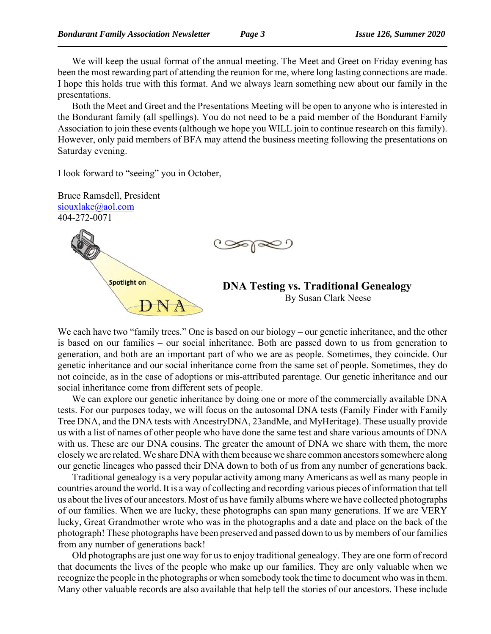We will keep the usual format of the annual meeting. The Meet and Greet on Friday evening has been the most rewarding part of attending the reunion for me, where long lasting connections are made. I hope this holds true with this format. And we always learn something new about our family in the presentations.

Both the Meet and Greet and the Presentations Meeting will be open to anyone who is interested in the Bondurant family (all spellings). You do not need to be a paid member of the Bondurant Family Association to join these events (although we hope you WILL join to continue research on this family). However, only paid members of BFA may attend the business meeting following the presentations on Saturday evening.

I look forward to "seeing" you in October,



We each have two "family trees." One is based on our biology – our genetic inheritance, and the other is based on our families – our social inheritance. Both are passed down to us from generation to generation, and both are an important part of who we are as people. Sometimes, they coincide. Our genetic inheritance and our social inheritance come from the same set of people. Sometimes, they do not coincide, as in the case of adoptions or mis-attributed parentage. Our genetic inheritance and our social inheritance come from different sets of people.

We can explore our genetic inheritance by doing one or more of the commercially available DNA tests. For our purposes today, we will focus on the autosomal DNA tests (Family Finder with Family Tree DNA, and the DNA tests with AncestryDNA, 23andMe, and MyHeritage). These usually provide us with a list of names of other people who have done the same test and share various amounts of DNA with us. These are our DNA cousins. The greater the amount of DNA we share with them, the more closely we are related. We share DNA with them because we share common ancestors somewhere along our genetic lineages who passed their DNA down to both of us from any number of generations back.

Traditional genealogy is a very popular activity among many Americans as well as many people in countries around the world. It is a way of collecting and recording various pieces of information that tell us about the lives of our ancestors. Most of us have family albums where we have collected photographs of our families. When we are lucky, these photographs can span many generations. If we are VERY lucky, Great Grandmother wrote who was in the photographs and a date and place on the back of the photograph! These photographs have been preserved and passed down to us by members of our families from any number of generations back!

Old photographs are just one way for us to enjoy traditional genealogy. They are one form of record that documents the lives of the people who make up our families. They are only valuable when we recognize the people in the photographs or when somebody took the time to document who was in them. Many other valuable records are also available that help tell the stories of our ancestors. These include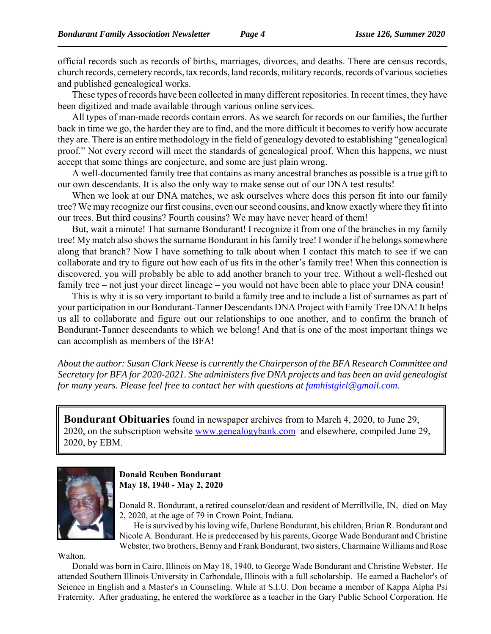official records such as records of births, marriages, divorces, and deaths. There are census records, church records, cemetery records, tax records, land records, military records, records of various societies and published genealogical works.

These types of records have been collected in many different repositories. In recent times, they have been digitized and made available through various online services.

All types of man-made records contain errors. As we search for records on our families, the further back in time we go, the harder they are to find, and the more difficult it becomes to verify how accurate they are. There is an entire methodology in the field of genealogy devoted to establishing "genealogical proof." Not every record will meet the standards of genealogical proof. When this happens, we must accept that some things are conjecture, and some are just plain wrong.

A well-documented family tree that contains as many ancestral branches as possible is a true gift to our own descendants. It is also the only way to make sense out of our DNA test results!

When we look at our DNA matches, we ask ourselves where does this person fit into our family tree? We may recognize our first cousins, even our second cousins, and know exactly where they fit into our trees. But third cousins? Fourth cousins? We may have never heard of them!

But, wait a minute! That surname Bondurant! I recognize it from one of the branches in my family tree! My match also shows the surname Bondurant in his family tree! I wonder if he belongs somewhere along that branch? Now I have something to talk about when I contact this match to see if we can collaborate and try to figure out how each of us fits in the other's family tree! When this connection is discovered, you will probably be able to add another branch to your tree. Without a well-fleshed out family tree – not just your direct lineage – you would not have been able to place your DNA cousin!

This is why it is so very important to build a family tree and to include a list of surnames as part of your participation in our Bondurant-Tanner Descendants DNA Project with Family Tree DNA! It helps us all to collaborate and figure out our relationships to one another, and to confirm the branch of Bondurant-Tanner descendants to which we belong! And that is one of the most important things we can accomplish as members of the BFA!

*About the author: Susan Clark Neese is currently the Chairperson of the BFA Research Committee and Secretary for BFA for 2020-2021. She administers five DNA projects and has been an avid genealogist for many years. Please feel free to contact her with questions at famhistgirl@gmail.com.* 

**Bondurant Obituaries** found in newspaper archives from to March 4, 2020, to June 29, 2020, on the subscription website www.genealogybank.com and elsewhere, compiled June 29, 2020, by EBM.



**Donald Reuben Bondurant May 18, 1940 - May 2, 2020** 

Donald R. Bondurant, a retired counselor/dean and resident of Merrillville, IN, died on May 2, 2020, at the age of 79 in Crown Point, Indiana.

He is survived by his loving wife, Darlene Bondurant, his children, Brian R. Bondurant and Nicole A. Bondurant. He is predeceased by his parents, George Wade Bondurant and Christine Webster, two brothers, Benny and Frank Bondurant, two sisters, Charmaine Williams and Rose

Walton.

Donald was born in Cairo, Illinois on May 18, 1940, to George Wade Bondurant and Christine Webster. He attended Southern Illinois University in Carbondale, Illinois with a full scholarship. He earned a Bachelor's of Science in English and a Master's in Counseling. While at S.I.U. Don became a member of Kappa Alpha Psi Fraternity. After graduating, he entered the workforce as a teacher in the Gary Public School Corporation. He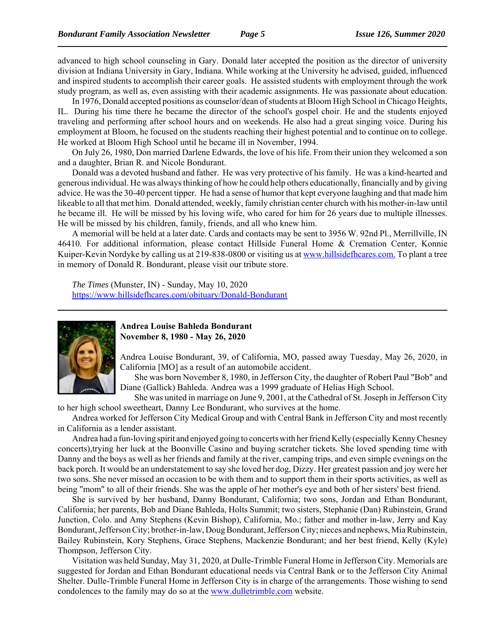advanced to high school counseling in Gary. Donald later accepted the position as the director of university division at Indiana University in Gary, Indiana. While working at the University he advised, guided, influenced and inspired students to accomplish their career goals. He assisted students with employment through the work study program, as well as, even assisting with their academic assignments. He was passionate about education.

In 1976, Donald accepted positions as counselor/dean of students at Bloom High School in Chicago Heights, IL. During his time there he became the director of the school's gospel choir. He and the students enjoyed traveling and performing after school hours and on weekends. He also had a great singing voice. During his employment at Bloom, he focused on the students reaching their highest potential and to continue on to college. He worked at Bloom High School until he became ill in November, 1994.

On July 26, 1980, Don married Darlene Edwards, the love of his life. From their union they welcomed a son and a daughter, Brian R. and Nicole Bondurant.

Donald was a devoted husband and father. He was very protective of his family. He was a kind-hearted and generous individual. He was always thinking of how he could help others educationally, financially and by giving advice. He was the 30-40 percent tipper. He had a sense of humor that kept everyone laughing and that made him likeable to all that met him. Donald attended, weekly, family christian center church with his mother-in-law until he became ill. He will be missed by his loving wife, who cared for him for 26 years due to multiple illnesses. He will be missed by his children, family, friends, and all who knew him.

A memorial will be held at a later date. Cards and contacts may be sent to 3956 W. 92nd Pl., Merrillville, IN 46410. For additional information, please contact Hillside Funeral Home & Cremation Center, Konnie Kuiper-Kevin Nordyke by calling us at 219-838-0800 or visiting us at www.hillsidefhcares.com. To plant a tree in memory of Donald R. Bondurant, please visit our tribute store.

*The Times* (Munster, IN) - Sunday, May 10, 2020 https://www.hillsidefhcares.com/obituary/Donald-Bondurant



#### **Andrea Louise Bahleda Bondurant November 8, 1980 - May 26, 2020**

Andrea Louise Bondurant, 39, of California, MO, passed away Tuesday, May 26, 2020, in California [MO] as a result of an automobile accident.

She was born November 8, 1980, in Jefferson City, the daughter of Robert Paul "Bob" and Diane (Gallick) Bahleda. Andrea was a 1999 graduate of Helias High School.

She was united in marriage on June 9, 2001, at the Cathedral of St. Joseph in Jefferson City to her high school sweetheart, Danny Lee Bondurant, who survives at the home.

Andrea worked for Jefferson City Medical Group and with Central Bank in Jefferson City and most recently in California as a lender assistant.

Andrea had a fun-loving spirit and enjoyed going to concerts with her friend Kelly (especially Kenny Chesney concerts),trying her luck at the Boonville Casino and buying scratcher tickets. She loved spending time with Danny and the boys as well as her friends and family at the river, camping trips, and even simple evenings on the back porch. It would be an understatement to say she loved her dog, Dizzy. Her greatest passion and joy were her two sons. She never missed an occasion to be with them and to support them in their sports activities, as well as being "mom" to all of their friends. She was the apple of her mother's eye and both of her sisters' best friend.

She is survived by her husband, Danny Bondurant, California; two sons, Jordan and Ethan Bondurant, California; her parents, Bob and Diane Bahleda, Holts Summit; two sisters, Stephanie (Dan) Rubinstein, Grand Junction, Colo. and Amy Stephens (Kevin Bishop), California, Mo.; father and mother in-law, Jerry and Kay Bondurant, Jefferson City; brother-in-law, Doug Bondurant, Jefferson City; nieces and nephews, Mia Rubinstein, Bailey Rubinstein, Kory Stephens, Grace Stephens, Mackenzie Bondurant; and her best friend, Kelly (Kyle) Thompson, Jefferson City.

Visitation was held Sunday, May 31, 2020, at Dulle-Trimble Funeral Home in Jefferson City. Memorials are suggested for Jordan and Ethan Bondurant educational needs via Central Bank or to the Jefferson City Animal Shelter. Dulle-Trimble Funeral Home in Jefferson City is in charge of the arrangements. Those wishing to send condolences to the family may do so at the www.dulletrimble.com website.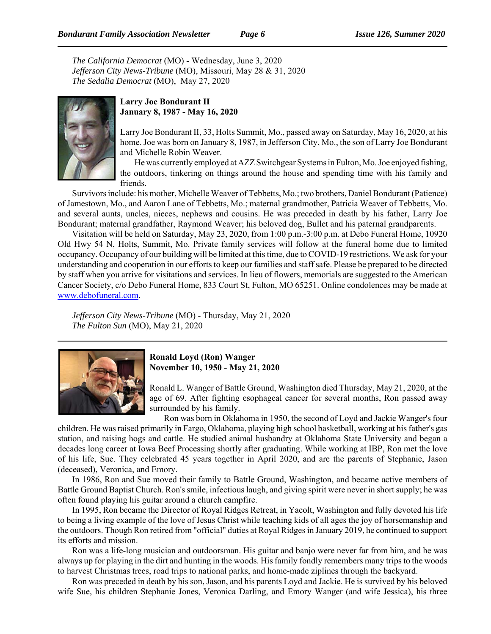*The California Democrat* (MO) - Wednesday, June 3, 2020 *Jefferson City News-Tribune* (MO), Missouri, May 28 & 31, 2020 *The Sedalia Democrat* (MO), May 27, 2020



#### **Larry Joe Bondurant II January 8, 1987 - May 16, 2020**

Larry Joe Bondurant II, 33, Holts Summit, Mo., passed away on Saturday, May 16, 2020, at his home. Joe was born on January 8, 1987, in Jefferson City, Mo., the son of Larry Joe Bondurant and Michelle Robin Weaver.

He was currently employed at AZZ Switchgear Systems in Fulton, Mo. Joe enjoyed fishing, the outdoors, tinkering on things around the house and spending time with his family and friends.

Survivors include: his mother, Michelle Weaver of Tebbetts, Mo.; two brothers, Daniel Bondurant (Patience) of Jamestown, Mo., and Aaron Lane of Tebbetts, Mo.; maternal grandmother, Patricia Weaver of Tebbetts, Mo. and several aunts, uncles, nieces, nephews and cousins. He was preceded in death by his father, Larry Joe Bondurant; maternal grandfather, Raymond Weaver; his beloved dog, Bullet and his paternal grandparents.

Visitation will be held on Saturday, May 23, 2020, from 1:00 p.m.-3:00 p.m. at Debo Funeral Home, 10920 Old Hwy 54 N, Holts, Summit, Mo. Private family services will follow at the funeral home due to limited occupancy. Occupancy of our building will be limited at this time, due to COVID-19 restrictions. We ask for your understanding and cooperation in our efforts to keep our families and staff safe. Please be prepared to be directed by staff when you arrive for visitations and services. In lieu of flowers, memorials are suggested to the American Cancer Society, c/o Debo Funeral Home, 833 Court St, Fulton, MO 65251. Online condolences may be made at www.debofuneral.com.

*Jefferson City News-Tribune* (MO) - Thursday, May 21, 2020 *The Fulton Sun* (MO), May 21, 2020



#### **Ronald Loyd (Ron) Wanger November 10, 1950 - May 21, 2020**

Ronald L. Wanger of Battle Ground, Washington died Thursday, May 21, 2020, at the age of 69. After fighting esophageal cancer for several months, Ron passed away surrounded by his family.

Ron was born in Oklahoma in 1950, the second of Loyd and Jackie Wanger's four children. He was raised primarily in Fargo, Oklahoma, playing high school basketball, working at his father's gas station, and raising hogs and cattle. He studied animal husbandry at Oklahoma State University and began a decades long career at Iowa Beef Processing shortly after graduating. While working at IBP, Ron met the love of his life, Sue. They celebrated 45 years together in April 2020, and are the parents of Stephanie, Jason (deceased), Veronica, and Emory.

In 1986, Ron and Sue moved their family to Battle Ground, Washington, and became active members of Battle Ground Baptist Church. Ron's smile, infectious laugh, and giving spirit were never in short supply; he was often found playing his guitar around a church campfire.

In 1995, Ron became the Director of Royal Ridges Retreat, in Yacolt, Washington and fully devoted his life to being a living example of the love of Jesus Christ while teaching kids of all ages the joy of horsemanship and the outdoors. Though Ron retired from "official" duties at Royal Ridges in January 2019, he continued to support its efforts and mission.

Ron was a life-long musician and outdoorsman. His guitar and banjo were never far from him, and he was always up for playing in the dirt and hunting in the woods. His family fondly remembers many trips to the woods to harvest Christmas trees, road trips to national parks, and home-made ziplines through the backyard.

Ron was preceded in death by his son, Jason, and his parents Loyd and Jackie. He is survived by his beloved wife Sue, his children Stephanie Jones, Veronica Darling, and Emory Wanger (and wife Jessica), his three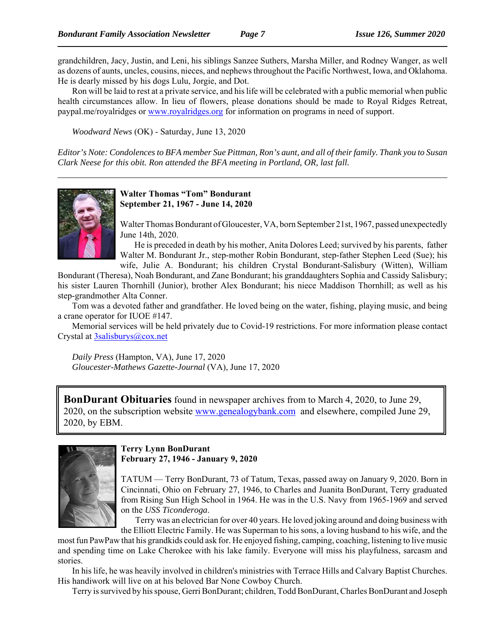grandchildren, Jacy, Justin, and Leni, his siblings Sanzee Suthers, Marsha Miller, and Rodney Wanger, as well as dozens of aunts, uncles, cousins, nieces, and nephews throughout the Pacific Northwest, Iowa, and Oklahoma. He is dearly missed by his dogs Lulu, Jorgie, and Dot.

Ron will be laid to rest at a private service, and his life will be celebrated with a public memorial when public health circumstances allow. In lieu of flowers, please donations should be made to Royal Ridges Retreat, paypal.me/royalridges or www.royalridges.org for information on programs in need of support.

*Woodward News* (OK) - Saturday, June 13, 2020

*Editor's Note: Condolences to BFA member Sue Pittman, Ron's aunt, and all of their family. Thank you to Susan Clark Neese for this obit. Ron attended the BFA meeting in Portland, OR, last fall.*



**Walter Thomas "Tom" Bondurant September 21, 1967 - June 14, 2020**

Walter Thomas Bondurant of Gloucester, VA, born September 21st, 1967, passed unexpectedly June 14th, 2020.

He is preceded in death by his mother, Anita Dolores Leed; survived by his parents, father Walter M. Bondurant Jr., step-mother Robin Bondurant, step-father Stephen Leed (Sue); his

wife, Julie A. Bondurant; his children Crystal Bondurant-Salisbury (Witten), William Bondurant (Theresa), Noah Bondurant, and Zane Bondurant; his granddaughters Sophia and Cassidy Salisbury; his sister Lauren Thornhill (Junior), brother Alex Bondurant; his niece Maddison Thornhill; as well as his step-grandmother Alta Conner.

Tom was a devoted father and grandfather. He loved being on the water, fishing, playing music, and being a crane operator for IUOE #147.

Memorial services will be held privately due to Covid-19 restrictions. For more information please contact Crystal at 3salisburys@cox.net

*Daily Press* (Hampton, VA), June 17, 2020 *Gloucester-Mathews Gazette-Journal* (VA), June 17, 2020

**BonDurant Obituaries** found in newspaper archives from to March 4, 2020, to June 29, 2020, on the subscription website www.genealogybank.com and elsewhere, compiled June 29, 2020, by EBM.



**Terry Lynn BonDurant February 27, 1946 - January 9, 2020**

TATUM — Terry BonDurant, 73 of Tatum, Texas, passed away on January 9, 2020. Born in Cincinnati, Ohio on February 27, 1946, to Charles and Juanita BonDurant, Terry graduated from Rising Sun High School in 1964. He was in the U.S. Navy from 1965-1969 and served on the *USS Ticonderoga*.

Terry was an electrician for over 40 years. He loved joking around and doing business with the Elliott Electric Family. He was Superman to his sons, a loving husband to his wife, and the

most fun PawPaw that his grandkids could ask for. He enjoyed fishing, camping, coaching, listening to live music and spending time on Lake Cherokee with his lake family. Everyone will miss his playfulness, sarcasm and stories.

In his life, he was heavily involved in children's ministries with Terrace Hills and Calvary Baptist Churches. His handiwork will live on at his beloved Bar None Cowboy Church.

Terry is survived by his spouse, Gerri BonDurant; children, Todd BonDurant, Charles BonDurant and Joseph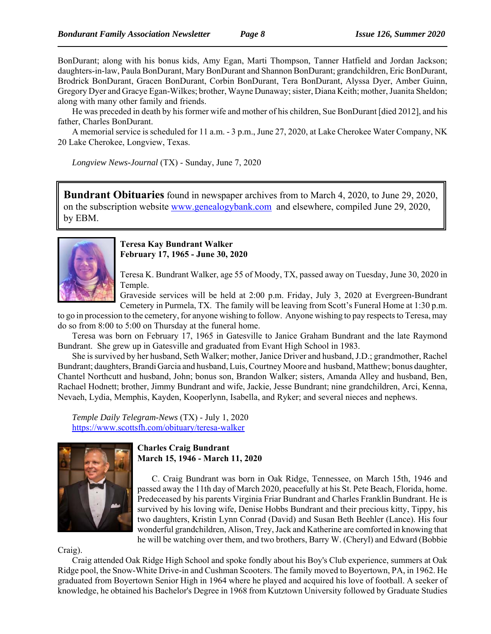BonDurant; along with his bonus kids, Amy Egan, Marti Thompson, Tanner Hatfield and Jordan Jackson; daughters-in-law, Paula BonDurant, Mary BonDurant and Shannon BonDurant; grandchildren, Eric BonDurant, Brodrick BonDurant, Gracen BonDurant, Corbin BonDurant, Tera BonDurant, Alyssa Dyer, Amber Guinn, Gregory Dyer and Gracye Egan-Wilkes; brother, Wayne Dunaway; sister, Diana Keith; mother, Juanita Sheldon; along with many other family and friends.

He was preceded in death by his former wife and mother of his children, Sue BonDurant [died 2012], and his father, Charles BonDurant.

A memorial service is scheduled for 11 a.m. - 3 p.m., June 27, 2020, at Lake Cherokee Water Company, NK 20 Lake Cherokee, Longview, Texas.

*Longview News-Journal* (TX) - Sunday, June 7, 2020

**Bundrant Obituaries** found in newspaper archives from to March 4, 2020, to June 29, 2020, on the subscription website www.genealogybank.com and elsewhere, compiled June 29, 2020, by EBM.



#### **Teresa Kay Bundrant Walker February 17, 1965 - June 30, 2020**

Teresa K. Bundrant Walker, age 55 of Moody, TX, passed away on Tuesday, June 30, 2020 in Temple.

Graveside services will be held at 2:00 p.m. Friday, July 3, 2020 at Evergreen-Bundrant Cemetery in Purmela, TX. The family will be leaving from Scott's Funeral Home at 1:30 p.m.

to go in procession to the cemetery, for anyone wishing to follow. Anyone wishing to pay respects to Teresa, may do so from 8:00 to 5:00 on Thursday at the funeral home.

Teresa was born on February 17, 1965 in Gatesville to Janice Graham Bundrant and the late Raymond Bundrant. She grew up in Gatesville and graduated from Evant High School in 1983.

She is survived by her husband, Seth Walker; mother, Janice Driver and husband, J.D.; grandmother, Rachel Bundrant; daughters, Brandi Garcia and husband, Luis, Courtney Moore and husband, Matthew; bonus daughter, Chantel Northcutt and husband, John; bonus son, Brandon Walker; sisters, Amanda Alley and husband, Ben, Rachael Hodnett; brother, Jimmy Bundrant and wife, Jackie, Jesse Bundrant; nine grandchildren, Arci, Kenna, Nevaeh, Lydia, Memphis, Kayden, Kooperlynn, Isabella, and Ryker; and several nieces and nephews.

*Temple Daily Telegram-News* (TX) - July 1, 2020 https://www.scottsfh.com/obituary/teresa-walker



**Charles Craig Bundrant March 15, 1946 - March 11, 2020**

C. Craig Bundrant was born in Oak Ridge, Tennessee, on March 15th, 1946 and passed away the 11th day of March 2020, peacefully at his St. Pete Beach, Florida, home. Predeceased by his parents Virginia Friar Bundrant and Charles Franklin Bundrant. He is survived by his loving wife, Denise Hobbs Bundrant and their precious kitty, Tippy, his two daughters, Kristin Lynn Conrad (David) and Susan Beth Beehler (Lance). His four wonderful grandchildren, Alison, Trey, Jack and Katherine are comforted in knowing that he will be watching over them, and two brothers, Barry W. (Cheryl) and Edward (Bobbie

Craig).

Craig attended Oak Ridge High School and spoke fondly about his Boy's Club experience, summers at Oak Ridge pool, the Snow-White Drive-in and Cushman Scooters. The family moved to Boyertown, PA, in 1962. He graduated from Boyertown Senior High in 1964 where he played and acquired his love of football. A seeker of knowledge, he obtained his Bachelor's Degree in 1968 from Kutztown University followed by Graduate Studies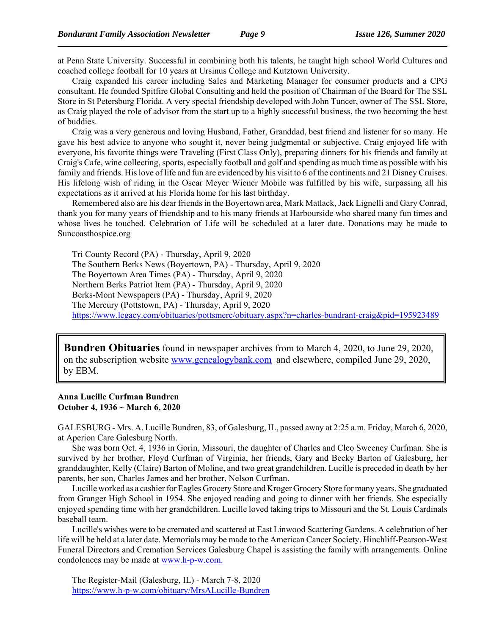at Penn State University. Successful in combining both his talents, he taught high school World Cultures and coached college football for 10 years at Ursinus College and Kutztown University.

Craig expanded his career including Sales and Marketing Manager for consumer products and a CPG consultant. He founded Spitfire Global Consulting and held the position of Chairman of the Board for The SSL Store in St Petersburg Florida. A very special friendship developed with John Tuncer, owner of The SSL Store, as Craig played the role of advisor from the start up to a highly successful business, the two becoming the best of buddies.

Craig was a very generous and loving Husband, Father, Granddad, best friend and listener for so many. He gave his best advice to anyone who sought it, never being judgmental or subjective. Craig enjoyed life with everyone, his favorite things were Traveling (First Class Only), preparing dinners for his friends and family at Craig's Cafe, wine collecting, sports, especially football and golf and spending as much time as possible with his family and friends. His love of life and fun are evidenced by his visit to 6 of the continents and 21 Disney Cruises. His lifelong wish of riding in the Oscar Meyer Wiener Mobile was fulfilled by his wife, surpassing all his expectations as it arrived at his Florida home for his last birthday.

Remembered also are his dear friends in the Boyertown area, Mark Matlack, Jack Lignelli and Gary Conrad, thank you for many years of friendship and to his many friends at Harbourside who shared many fun times and whose lives he touched. Celebration of Life will be scheduled at a later date. Donations may be made to Suncoasthospice.org

Tri County Record (PA) - Thursday, April 9, 2020 The Southern Berks News (Boyertown, PA) - Thursday, April 9, 2020 The Boyertown Area Times (PA) - Thursday, April 9, 2020 Northern Berks Patriot Item (PA) - Thursday, April 9, 2020 Berks-Mont Newspapers (PA) - Thursday, April 9, 2020 The Mercury (Pottstown, PA) - Thursday, April 9, 2020 https://www.legacy.com/obituaries/pottsmerc/obituary.aspx?n=charles-bundrant-craig&pid=195923489

**Bundren Obituaries** found in newspaper archives from to March 4, 2020, to June 29, 2020, on the subscription website www.genealogybank.com and elsewhere, compiled June 29, 2020, by EBM.

#### **Anna Lucille Curfman Bundren October 4, 1936 ~ March 6, 2020**

GALESBURG - Mrs. A. Lucille Bundren, 83, of Galesburg, IL, passed away at 2:25 a.m. Friday, March 6, 2020, at Aperion Care Galesburg North.

She was born Oct. 4, 1936 in Gorin, Missouri, the daughter of Charles and Cleo Sweeney Curfman. She is survived by her brother, Floyd Curfman of Virginia, her friends, Gary and Becky Barton of Galesburg, her granddaughter, Kelly (Claire) Barton of Moline, and two great grandchildren. Lucille is preceded in death by her parents, her son, Charles James and her brother, Nelson Curfman.

Lucille worked as a cashier for Eagles Grocery Store and Kroger Grocery Store for many years. She graduated from Granger High School in 1954. She enjoyed reading and going to dinner with her friends. She especially enjoyed spending time with her grandchildren. Lucille loved taking trips to Missouri and the St. Louis Cardinals baseball team.

Lucille's wishes were to be cremated and scattered at East Linwood Scattering Gardens. A celebration of her life will be held at a later date. Memorials may be made to the American Cancer Society. Hinchliff-Pearson-West Funeral Directors and Cremation Services Galesburg Chapel is assisting the family with arrangements. Online condolences may be made at www.h-p-w.com.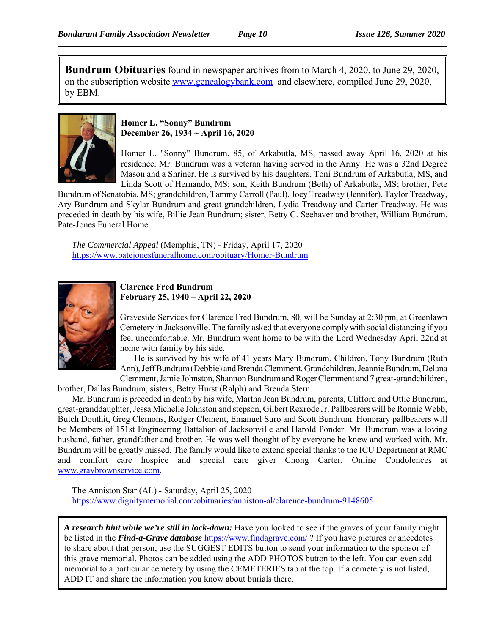**Bundrum Obituaries** found in newspaper archives from to March 4, 2020, to June 29, 2020, on the subscription website www.genealogybank.com and elsewhere, compiled June 29, 2020, by EBM.



## **Homer L. "Sonny" Bundrum December 26, 1934 ~ April 16, 2020**

Homer L. "Sonny" Bundrum, 85, of Arkabutla, MS, passed away April 16, 2020 at his residence. Mr. Bundrum was a veteran having served in the Army. He was a 32nd Degree Mason and a Shriner. He is survived by his daughters, Toni Bundrum of Arkabutla, MS, and Linda Scott of Hernando, MS; son, Keith Bundrum (Beth) of Arkabutla, MS; brother, Pete

Bundrum of Senatobia, MS; grandchildren, Tammy Carroll (Paul), Joey Treadway (Jennifer), Taylor Treadway, Ary Bundrum and Skylar Bundrum and great grandchildren, Lydia Treadway and Carter Treadway. He was preceded in death by his wife, Billie Jean Bundrum; sister, Betty C. Seehaver and brother, William Bundrum. Pate-Jones Funeral Home.

*The Commercial Appeal* (Memphis, TN) - Friday, April 17, 2020 https://www.patejonesfuneralhome.com/obituary/Homer-Bundrum



#### **Clarence Fred Bundrum February 25, 1940 – April 22, 2020**

Graveside Services for Clarence Fred Bundrum, 80, will be Sunday at 2:30 pm, at Greenlawn Cemetery in Jacksonville. The family asked that everyone comply with social distancing if you feel uncomfortable. Mr. Bundrum went home to be with the Lord Wednesday April 22nd at home with family by his side.

He is survived by his wife of 41 years Mary Bundrum, Children, Tony Bundrum (Ruth Ann), Jeff Bundrum (Debbie) and Brenda Clemment. Grandchildren, Jeannie Bundrum, Delana Clemment, Jamie Johnston, Shannon Bundrum and Roger Clemment and 7 great-grandchildren,

brother, Dallas Bundrum, sisters, Betty Hurst (Ralph) and Brenda Stern.

Mr. Bundrum is preceded in death by his wife, Martha Jean Bundrum, parents, Clifford and Ottie Bundrum, great-granddaughter, Jessa Michelle Johnston and stepson, Gilbert Rexrode Jr. Pallbearers will be Ronnie Webb, Butch Douthit, Greg Clemons, Rodger Clement, Emanuel Suro and Scott Bundrum. Honorary pallbearers will be Members of 151st Engineering Battalion of Jacksonville and Harold Ponder. Mr. Bundrum was a loving husband, father, grandfather and brother. He was well thought of by everyone he knew and worked with. Mr. Bundrum will be greatly missed. The family would like to extend special thanks to the ICU Department at RMC and comfort care hospice and special care giver Chong Carter. Online Condolences at www.graybrownservice.com.

The Anniston Star (AL) - Saturday, April 25, 2020 https://www.dignitymemorial.com/obituaries/anniston-al/clarence-bundrum-9148605

*A research hint while we're still in lock-down:* Have you looked to see if the graves of your family might be listed in the *Find-a-Grave database* https://www.findagrave.com/ ? If you have pictures or anecdotes to share about that person, use the SUGGEST EDITS button to send your information to the sponsor of this grave memorial. Photos can be added using the ADD PHOTOS button to the left. You can even add memorial to a particular cemetery by using the CEMETERIES tab at the top. If a cemetery is not listed, ADD IT and share the information you know about burials there.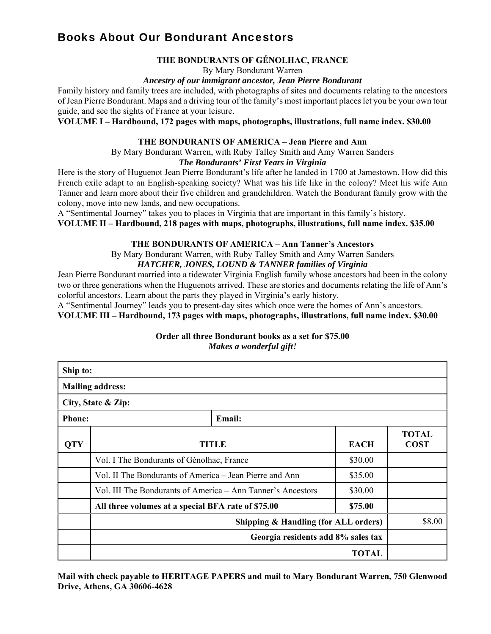## Books About Our Bondurant Ancestors

#### **THE BONDURANTS OF GÉNOLHAC, FRANCE**

By Mary Bondurant Warren

#### *Ancestry of our immigrant ancestor, Jean Pierre Bondurant*

Family history and family trees are included, with photographs of sites and documents relating to the ancestors of Jean Pierre Bondurant. Maps and a driving tour of the family's most important places let you be your own tour guide, and see the sights of France at your leisure.

**VOLUME I – Hardbound, 172 pages with maps, photographs, illustrations, full name index. \$30.00**

#### **THE BONDURANTS OF AMERICA – Jean Pierre and Ann**

By Mary Bondurant Warren, with Ruby Talley Smith and Amy Warren Sanders *The Bondurants' First Years in Virginia*

Here is the story of Huguenot Jean Pierre Bondurant's life after he landed in 1700 at Jamestown. How did this French exile adapt to an English-speaking society? What was his life like in the colony? Meet his wife Ann Tanner and learn more about their five children and grandchildren. Watch the Bondurant family grow with the colony, move into new lands, and new occupations.

A "Sentimental Journey" takes you to places in Virginia that are important in this family's history.

## **VOLUME II – Hardbound, 218 pages with maps, photographs, illustrations, full name index. \$35.00**

#### **THE BONDURANTS OF AMERICA – Ann Tanner's Ancestors**

By Mary Bondurant Warren, with Ruby Talley Smith and Amy Warren Sanders *HATCHER, JONES, LOUND & TANNER families of Virginia*

Jean Pierre Bondurant married into a tidewater Virginia English family whose ancestors had been in the colony two or three generations when the Huguenots arrived. These are stories and documents relating the life of Ann's colorful ancestors. Learn about the parts they played in Virginia's early history.

A "Sentimental Journey" leads you to present-day sites which once were the homes of Ann's ancestors.

**VOLUME III – Hardbound, 173 pages with maps, photographs, illustrations, full name index. \$30.00**

| Ship to:      |                                                                            |             |                             |
|---------------|----------------------------------------------------------------------------|-------------|-----------------------------|
|               | <b>Mailing address:</b>                                                    |             |                             |
|               | City, State & Zip:                                                         |             |                             |
| <b>Phone:</b> | Email:                                                                     |             |                             |
| <b>QTY</b>    | <b>TITLE</b>                                                               | <b>EACH</b> | <b>TOTAL</b><br><b>COST</b> |
|               | Vol. I The Bondurants of Génolhac, France                                  | \$30.00     |                             |
|               | Vol. II The Bondurants of America – Jean Pierre and Ann                    | \$35.00     |                             |
|               | Vol. III The Bondurants of America – Ann Tanner's Ancestors                | \$30.00     |                             |
|               | All three volumes at a special BFA rate of \$75.00                         | \$75.00     |                             |
|               | Shipping & Handling (for ALL orders)<br>Georgia residents add 8% sales tax |             | \$8.00                      |
|               |                                                                            |             |                             |
|               | <b>TOTAL</b>                                                               |             |                             |

**Order all three Bondurant books as a set for \$75.00** *Makes a wonderful gift!*

**Mail with check payable to HERITAGE PAPERS and mail to Mary Bondurant Warren, 750 Glenwood Drive, Athens, GA 30606-4628**